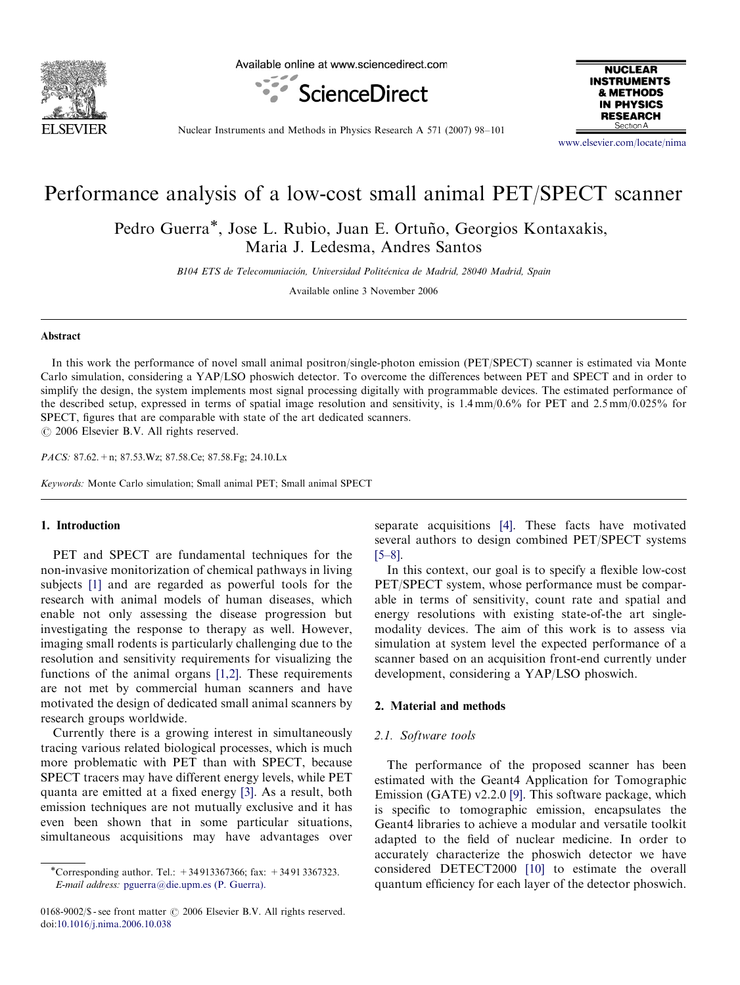

Available online at www.sciencedirect.com





Nuclear Instruments and Methods in Physics Research A 571 (2007) 98–101

<www.elsevier.com/locate/nima>

# Performance analysis of a low-cost small animal PET/SPECT scanner

Pedro Guerra<sup>\*</sup>, Jose L. Rubio, Juan E. Ortuño, Georgios Kontaxakis, Maria J. Ledesma, Andres Santos

B104 ETS de Telecomuniación, Universidad Politécnica de Madrid, 28040 Madrid, Spain

Available online 3 November 2006

## Abstract

In this work the performance of novel small animal positron/single-photon emission (PET/SPECT) scanner is estimated via Monte Carlo simulation, considering a YAP/LSO phoswich detector. To overcome the differences between PET and SPECT and in order to simplify the design, the system implements most signal processing digitally with programmable devices. The estimated performance of the described setup, expressed in terms of spatial image resolution and sensitivity, is 1.4 mm/0.6% for PET and 2.5 mm/0.025% for SPECT, figures that are comparable with state of the art dedicated scanners.  $O$  2006 Elsevier B.V. All rights reserved.

PACS: 87.62.+n; 87.53.Wz; 87.58.Ce; 87.58.Fg; 24.10.Lx

Keywords: Monte Carlo simulation; Small animal PET; Small animal SPECT

# 1. Introduction

PET and SPECT are fundamental techniques for the non-invasive monitorization of chemical pathways in living subjects [\[1\]](#page-3-0) and are regarded as powerful tools for the research with animal models of human diseases, which enable not only assessing the disease progression but investigating the response to therapy as well. However, imaging small rodents is particularly challenging due to the resolution and sensitivity requirements for visualizing the functions of the animal organs [\[1,2\]](#page-3-0). These requirements are not met by commercial human scanners and have motivated the design of dedicated small animal scanners by research groups worldwide.

Currently there is a growing interest in simultaneously tracing various related biological processes, which is much more problematic with PET than with SPECT, because SPECT tracers may have different energy levels, while PET quanta are emitted at a fixed energy [\[3\]](#page-3-0). As a result, both emission techniques are not mutually exclusive and it has even been shown that in some particular situations, simultaneous acquisitions may have advantages over

0168-9002/\$ - see front matter  $\odot$  2006 Elsevier B.V. All rights reserved. doi:[10.1016/j.nima.2006.10.038](dx.doi.org/10.1016/j.nima.2006.10.038)

separate acquisitions [\[4\].](#page-3-0) These facts have motivated several authors to design combined PET/SPECT systems [\[5–8\]](#page-3-0).

In this context, our goal is to specify a flexible low-cost PET/SPECT system, whose performance must be comparable in terms of sensitivity, count rate and spatial and energy resolutions with existing state-of-the art singlemodality devices. The aim of this work is to assess via simulation at system level the expected performance of a scanner based on an acquisition front-end currently under development, considering a YAP/LSO phoswich.

# 2. Material and methods

#### 2.1. Software tools

The performance of the proposed scanner has been estimated with the Geant4 Application for Tomographic Emission (GATE) v2.2.0 [\[9\].](#page-3-0) This software package, which is specific to tomographic emission, encapsulates the Geant4 libraries to achieve a modular and versatile toolkit adapted to the field of nuclear medicine. In order to accurately characterize the phoswich detector we have considered DETECT2000 [\[10\]](#page-3-0) to estimate the overall quantum efficiency for each layer of the detector phoswich.

<sup>-</sup>Corresponding author. Tel.: +34 913367366; fax: +34 91 3367323. E-mail address: [pguerra@die.upm.es \(P. Guerra\).](mailto:pguerra@die.upm.es)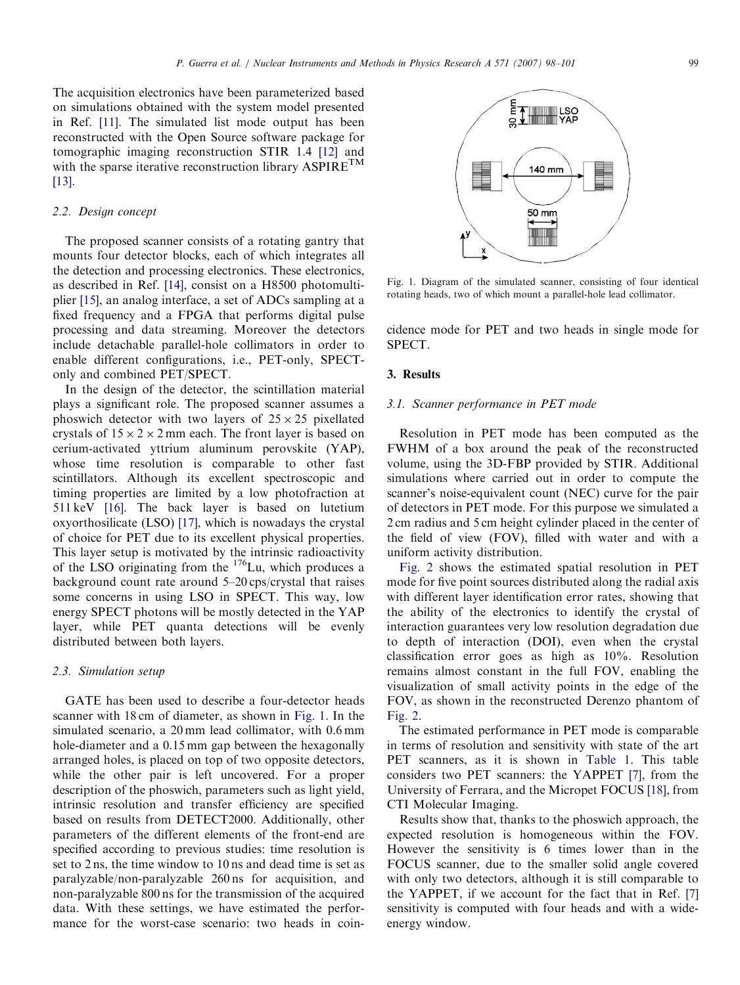The acquisition electronics have been parameterized based on simulations obtained with the system model presented in Ref. [\[11\]](#page-3-0). The simulated list mode output has been reconstructed with the Open Source software package for tomographic imaging reconstruction STIR 1.4 [\[12\]](#page-3-0) and with the sparse iterative reconstruction library  $\text{ASPIRE}^{\text{TM}}$ [\[13\].](#page-3-0)

#### 2.2. Design concept

The proposed scanner consists of a rotating gantry that mounts four detector blocks, each of which integrates all the detection and processing electronics. These electronics, as described in Ref. [\[14\],](#page-3-0) consist on a H8500 photomultiplier [\[15\],](#page-3-0) an analog interface, a set of ADCs sampling at a fixed frequency and a FPGA that performs digital pulse processing and data streaming. Moreover the detectors include detachable parallel-hole collimators in order to enable different configurations, i.e., PET-only, SPECTonly and combined PET/SPECT.

In the design of the detector, the scintillation material plays a significant role. The proposed scanner assumes a phoswich detector with two layers of  $25 \times 25$  pixellated crystals of  $15 \times 2 \times 2$  mm each. The front layer is based on cerium-activated yttrium aluminum perovskite (YAP), whose time resolution is comparable to other fast scintillators. Although its excellent spectroscopic and timing properties are limited by a low photofraction at 511 keV [\[16\].](#page-3-0) The back layer is based on lutetium oxyorthosilicate (LSO) [\[17\]](#page-3-0), which is nowadays the crystal of choice for PET due to its excellent physical properties. This layer setup is motivated by the intrinsic radioactivity of the LSO originating from the  $176$ Lu, which produces a background count rate around 5–20 cps/crystal that raises some concerns in using LSO in SPECT. This way, low energy SPECT photons will be mostly detected in the YAP layer, while PET quanta detections will be evenly distributed between both layers.

#### 2.3. Simulation setup

GATE has been used to describe a four-detector heads scanner with 18 cm of diameter, as shown in Fig. 1. In the simulated scenario, a 20 mm lead collimator, with 0.6 mm hole-diameter and a 0.15 mm gap between the hexagonally arranged holes, is placed on top of two opposite detectors, while the other pair is left uncovered. For a proper description of the phoswich, parameters such as light yield, intrinsic resolution and transfer efficiency are specified based on results from DETECT2000. Additionally, other parameters of the different elements of the front-end are specified according to previous studies: time resolution is set to 2 ns, the time window to 10 ns and dead time is set as paralyzable/non-paralyzable 260 ns for acquisition, and non-paralyzable 800 ns for the transmission of the acquired data. With these settings, we have estimated the performance for the worst-case scenario: two heads in coin-



Fig. 1. Diagram of the simulated scanner, consisting of four identical rotating heads, two of which mount a parallel-hole lead collimator.

cidence mode for PET and two heads in single mode for SPECT.

#### 3. Results

#### 3.1. Scanner performance in PET mode

Resolution in PET mode has been computed as the FWHM of a box around the peak of the reconstructed volume, using the 3D-FBP provided by STIR. Additional simulations where carried out in order to compute the scanner's noise-equivalent count (NEC) curve for the pair of detectors in PET mode. For this purpose we simulated a 2 cm radius and 5 cm height cylinder placed in the center of the field of view (FOV), filled with water and with a uniform activity distribution.

[Fig. 2](#page-2-0) shows the estimated spatial resolution in PET mode for five point sources distributed along the radial axis with different layer identification error rates, showing that the ability of the electronics to identify the crystal of interaction guarantees very low resolution degradation due to depth of interaction (DOI), even when the crystal classification error goes as high as 10%. Resolution remains almost constant in the full FOV, enabling the visualization of small activity points in the edge of the FOV, as shown in the reconstructed Derenzo phantom of [Fig. 2.](#page-2-0)

The estimated performance in PET mode is comparable in terms of resolution and sensitivity with state of the art PET scanners, as it is shown in [Table 1](#page-2-0). This table considers two PET scanners: the YAPPET [\[7\],](#page-3-0) from the University of Ferrara, and the Micropet FOCUS [\[18\],](#page-3-0) from CTI Molecular Imaging.

Results show that, thanks to the phoswich approach, the expected resolution is homogeneous within the FOV. However the sensitivity is 6 times lower than in the FOCUS scanner, due to the smaller solid angle covered with only two detectors, although it is still comparable to the YAPPET, if we account for the fact that in Ref. [\[7\]](#page-3-0) sensitivity is computed with four heads and with a wideenergy window.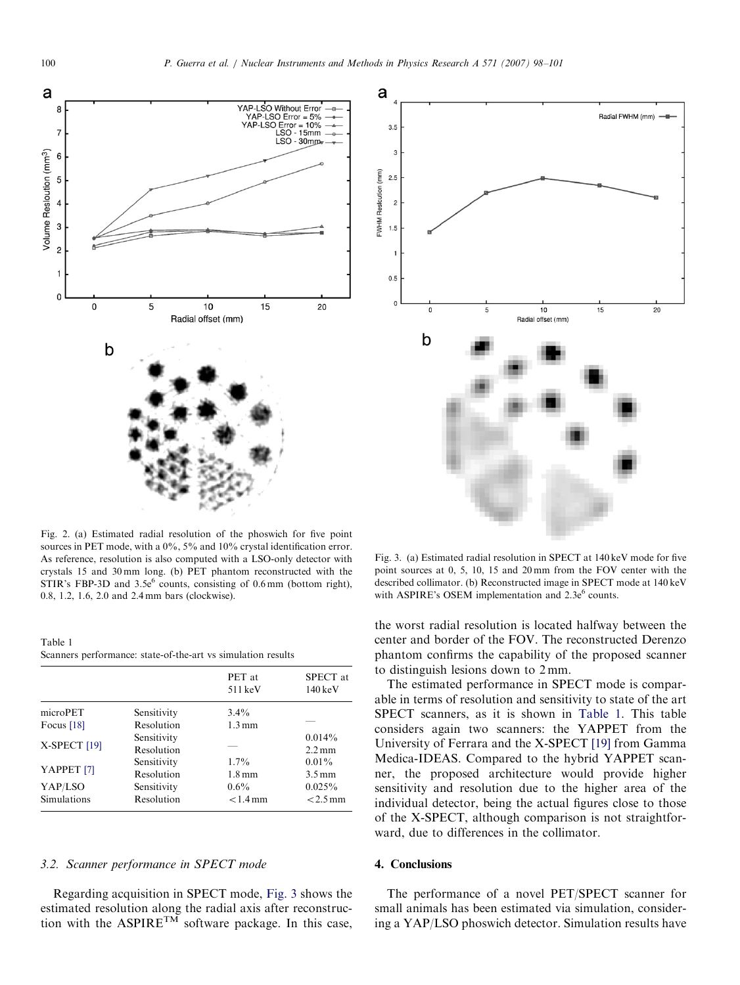<span id="page-2-0"></span>

Fig. 2. (a) Estimated radial resolution of the phoswich for five point sources in PET mode, with a 0%, 5% and 10% crystal identification error. As reference, resolution is also computed with a LSO-only detector with crystals 15 and 30 mm long. (b) PET phantom reconstructed with the STIR's FBP-3D and  $3.5e^6$  counts, consisting of 0.6 mm (bottom right), 0.8, 1.2, 1.6, 2.0 and 2.4 mm bars (clockwise).

Table 1 Scanners performance: state-of-the-art vs simulation results

|                         |             | PET at<br>511 keV   | SPECT at<br>$140 \,\mathrm{keV}$ |
|-------------------------|-------------|---------------------|----------------------------------|
| microPET                | Sensitivity | $3.4\%$             |                                  |
| Focus $[18]$            | Resolution  | $1.3 \,\mathrm{mm}$ |                                  |
| X-SPECT <sup>[19]</sup> | Sensitivity |                     | $0.014\%$                        |
|                         | Resolution  |                     | $2.2 \,\mathrm{mm}$              |
| YAPPET <sub>[7]</sub>   | Sensitivity | $1.7\%$             | $0.01\%$                         |
|                         | Resolution  | $1.8 \,\mathrm{mm}$ | $3.5 \,\mathrm{mm}$              |
| YAP/LSO                 | Sensitivity | $0.6\%$             | $0.025\%$                        |
| Simulations             | Resolution  | $< 1.4$ mm          | $< 2.5$ mm                       |

# 3.2. Scanner performance in SPECT mode

Regarding acquisition in SPECT mode, Fig. 3 shows the estimated resolution along the radial axis after reconstruction with the ASPIRE<sup>TM</sup> software package. In this case,



Fig. 3. (a) Estimated radial resolution in SPECT at 140 keV mode for five point sources at 0, 5, 10, 15 and 20 mm from the FOV center with the described collimator. (b) Reconstructed image in SPECT mode at 140 keV with ASPIRE's OSEM implementation and  $2.3e^6$  counts.

the worst radial resolution is located halfway between the center and border of the FOV. The reconstructed Derenzo phantom confirms the capability of the proposed scanner to distinguish lesions down to 2 mm.

The estimated performance in SPECT mode is comparable in terms of resolution and sensitivity to state of the art SPECT scanners, as it is shown in Table 1. This table considers again two scanners: the YAPPET from the University of Ferrara and the X-SPECT [\[19\]](#page-3-0) from Gamma Medica-IDEAS. Compared to the hybrid YAPPET scanner, the proposed architecture would provide higher sensitivity and resolution due to the higher area of the individual detector, being the actual figures close to those of the X-SPECT, although comparison is not straightforward, due to differences in the collimator.

# 4. Conclusions

The performance of a novel PET/SPECT scanner for small animals has been estimated via simulation, considering a YAP/LSO phoswich detector. Simulation results have